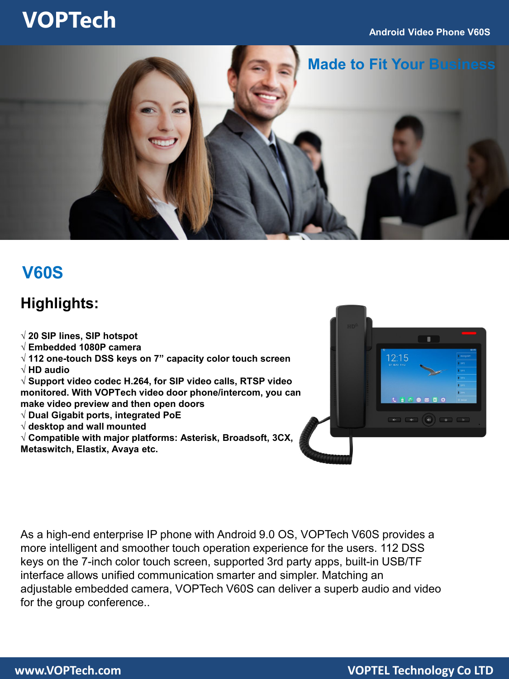#### **Android Video Phone V60S**

## **VOPTech**



### **V60S**

### **Highlights:**

**√ 20 SIP lines, SIP hotspot**

- **√ Embedded 1080P camera**
- **√ 112 one-touch DSS keys on 7" capacity color touch screen**
- **√ HD audio**

**√ Support video codec H.264, for SIP video calls, RTSP video monitored. With VOPTech video door phone/intercom, you can make video preview and then open doors**

- **√ Dual Gigabit ports, integrated PoE**
- **√ desktop and wall mounted**

**√ Compatible with major platforms: Asterisk, Broadsoft, 3CX, Metaswitch, Elastix, Avaya etc.**



As a high-end enterprise IP phone with Android 9.0 OS, VOPTech V60S provides a more intelligent and smoother touch operation experience for the users. 112 DSS keys on the 7-inch color touch screen, supported 3rd party apps, built-in USB/TF interface allows unified communication smarter and simpler. Matching an adjustable embedded camera, VOPTech V60S can deliver a superb audio and video for the group conference..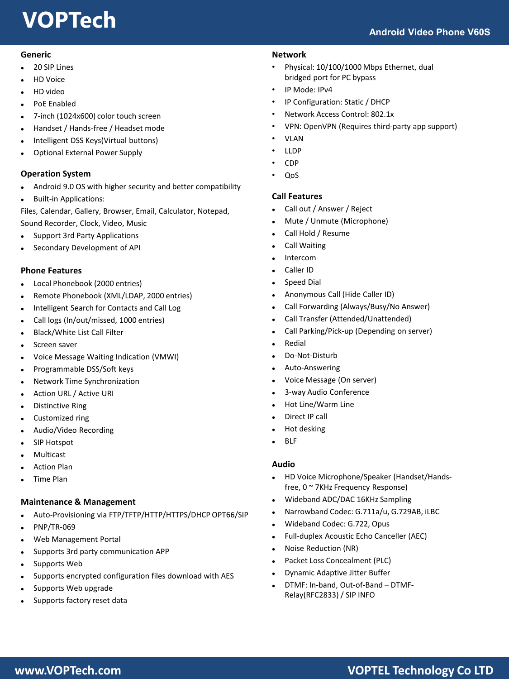# **VOPTech**

#### **Generic**

- 20 SIP Lines
- HD Voice
- HD video
- PoE Enabled
- 7-inch (1024x600) color touch screen
- Handset / Hands-free / Headset mode
- Intelligent DSS Keys(Virtual buttons)
- Optional External Power Supply

#### **Operation System**

- Android 9.0 OS with higher security and better compatibility
- Built-in Applications:

Files, Calendar, Gallery, Browser, Email, Calculator, Notepad, Sound Recorder, Clock, Video, Music

- Support 3rd Party Applications
- Secondary Development of API

#### **Phone Features**

- Local Phonebook (2000 entries)
- Remote Phonebook (XML/LDAP, 2000 entries)
- Intelligent Search for Contacts and Call Log
- Call logs (In/out/missed, 1000 entries)
- Black/White List Call Filter
- Screen saver
- Voice Message Waiting Indication (VMWI)
- Programmable DSS/Soft keys
- Network Time Synchronization
- Action URL / Active URI
- Distinctive Ring
- Customized ring
- Audio/Video Recording
- SIP Hotspot
- Multicast
- Action Plan
- Time Plan

#### **Maintenance & Management**

- Auto-Provisioning via FTP/TFTP/HTTP/HTTPS/DHCP OPT66/SIP
- PNP/TR-069
- Web Management Portal
- Supports 3rd party communication APP
- Supports Web
- Supports encrypted configuration files download with AES
- Supports Web upgrade
- Supports factory reset data

#### **Network**

- Physical: 10/100/1000 Mbps Ethernet, dual bridged port for PC bypass
- IP Mode: IPv4
- IP Configuration: Static / DHCP
- Network Access Control: 802.1x
- VPN: OpenVPN (Requires third-party app support)
- VLAN
- LLDP
- CDP
- QoS

#### **Call Features**

- Call out / Answer / Reject
- Mute / Unmute (Microphone)
- Call Hold / Resume
- Call Waiting
- Intercom
- Caller ID
- Speed Dial
- Anonymous Call (Hide Caller ID)
- Call Forwarding (Always/Busy/No Answer)
- Call Transfer (Attended/Unattended)
- Call Parking/Pick-up (Depending on server)
- Redial
- Do-Not-Disturb
- Auto-Answering
- Voice Message (On server)
- 3-way Audio Conference
- Hot Line/Warm Line
- Direct IP call
- Hot desking
- BLF

#### **Audio**

- HD Voice Microphone/Speaker (Handset/Handsfree, 0 ~ 7KHz Frequency Response)
- Wideband ADC/DAC 16KHz Sampling
- Narrowband Codec: G.711a/u, G.729AB, iLBC
- Wideband Codec: G.722, Opus
- Full-duplex Acoustic Echo Canceller (AEC)
- Noise Reduction (NR)
- Packet Loss Concealment (PLC)
- Dynamic Adaptive Jitter Buffer
- DTMF: In-band, Out-of-Band DTMF-Relay(RFC2833) / SIP INFO

### **www.VOPTech.com VOPTEL Technology Co LTD**